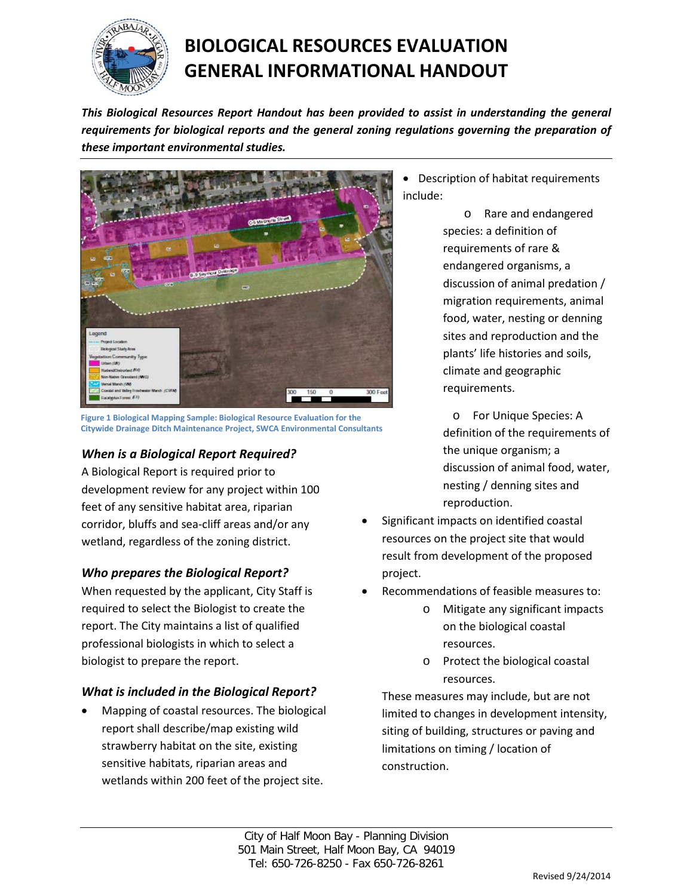

# **BIOLOGICAL RESOURCES EVALUATION GENERAL INFORMATIONAL HANDOUT**

*This Biological Resources Report Handout has been provided to assist in understanding the general requirements for biological reports and the general zoning regulations governing the preparation of these important environmental studies.*



**Figure 1 Biological Mapping Sample: Biological Resource Evaluation for the Citywide Drainage Ditch Maintenance Project, SWCA Environmental Consultants**

# *When is a Biological Report Required?*

A Biological Report is required prior to development review for any project within 100 feet of any sensitive habitat area, riparian corridor, bluffs and sea-cliff areas and/or any wetland, regardless of the zoning district.

## *Who prepares the Biological Report?*

When requested by the applicant, City Staff is required to select the Biologist to create the report. The City maintains a list of qualified professional biologists in which to select a biologist to prepare the report.

#### *What is included in the Biological Report?*

• Mapping of coastal resources. The biological report shall describe/map existing wild strawberry habitat on the site, existing sensitive habitats, riparian areas and wetlands within 200 feet of the project site.

• Description of habitat requirements include:

> o Rare and endangered species: a definition of requirements of rare & endangered organisms, a discussion of animal predation / migration requirements, animal food, water, nesting or denning sites and reproduction and the plants' life histories and soils, climate and geographic requirements.

o For Unique Species: A definition of the requirements of the unique organism; a discussion of animal food, water, nesting / denning sites and reproduction.

- Significant impacts on identified coastal resources on the project site that would result from development of the proposed project.
- Recommendations of feasible measures to:
	- Mitigate any significant impacts on the biological coastal resources.
	- o Protect the biological coastal resources.

These measures may include, but are not limited to changes in development intensity, siting of building, structures or paving and limitations on timing / location of construction.